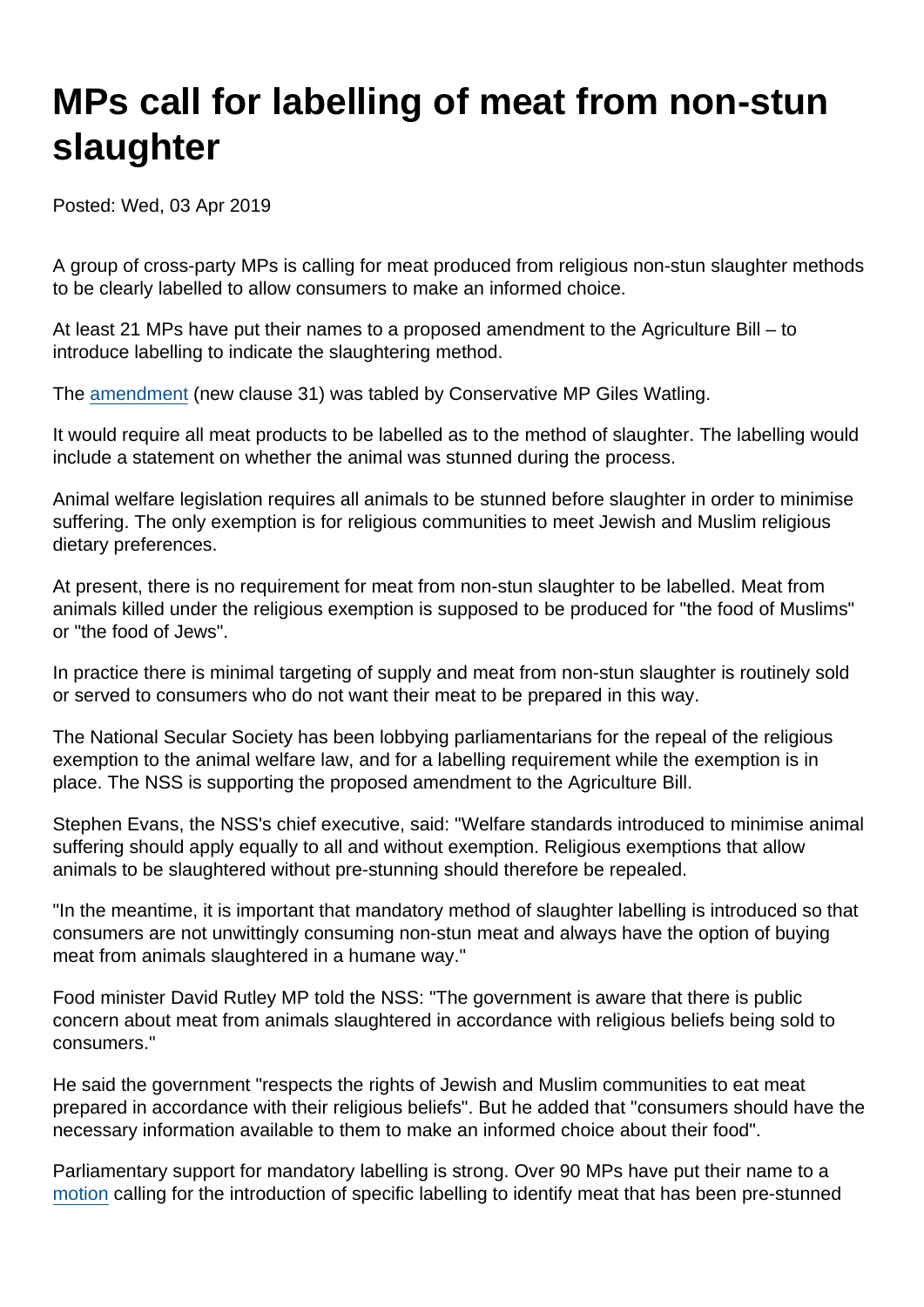## MPs call for labelling of meat from non-stun slaughter

Posted: Wed, 03 Apr 2019

A group of cross-party MPs is calling for meat produced from religious non-stun slaughter methods to be clearly labelled to allow consumers to make an informed choice.

At least 21 MPs have put their names to a proposed amendment to the Agriculture Bill – to introduce labelling to indicate the slaughtering method.

The [amendment](https://publications.parliament.uk/pa/bills/cbill/2017-2019/0292/amend/agriculture_rm_rep_0328.15-21.html) (new clause 31) was tabled by Conservative MP Giles Watling.

It would require all meat products to be labelled as to the method of slaughter. The labelling would include a statement on whether the animal was stunned during the process.

Animal welfare legislation requires all animals to be stunned before slaughter in order to minimise suffering. The only exemption is for religious communities to meet Jewish and Muslim religious dietary preferences.

At present, there is no requirement for meat from non-stun slaughter to be labelled. Meat from animals killed under the religious exemption is supposed to be produced for "the food of Muslims" or "the food of Jews".

In practice there is minimal targeting of supply and meat from non-stun slaughter is routinely sold or served to consumers who do not want their meat to be prepared in this way.

The National Secular Society has been lobbying parliamentarians for the repeal of the religious exemption to the animal welfare law, and for a labelling requirement while the exemption is in place. The NSS is supporting the proposed amendment to the Agriculture Bill.

Stephen Evans, the NSS's chief executive, said: "Welfare standards introduced to minimise animal suffering should apply equally to all and without exemption. Religious exemptions that allow animals to be slaughtered without pre-stunning should therefore be repealed.

"In the meantime, it is important that mandatory method of slaughter labelling is introduced so that consumers are not unwittingly consuming non-stun meat and always have the option of buying meat from animals slaughtered in a humane way."

Food minister David Rutley MP told the NSS: "The government is aware that there is public concern about meat from animals slaughtered in accordance with religious beliefs being sold to consumers."

He said the government "respects the rights of Jewish and Muslim communities to eat meat prepared in accordance with their religious beliefs". But he added that "consumers should have the necessary information available to them to make an informed choice about their food".

Parliamentary support for mandatory labelling is strong. Over 90 MPs have put their name to a [motion](https://edm.parliament.uk/early-day-motion/51998) calling for the introduction of specific labelling to identify meat that has been pre-stunned